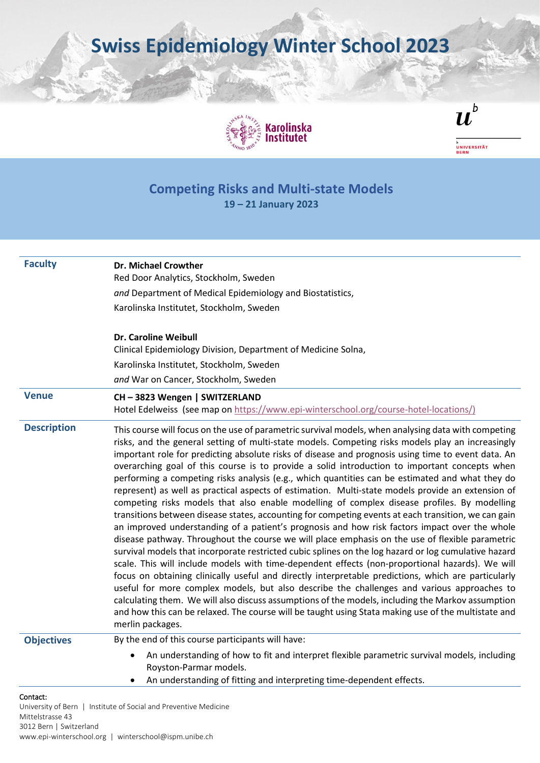**Swiss Epidemiology Winter School 2023**





<sup>b</sup><br>Universität<br>Bern

## **Competing Risks and Multi-state Models 19 – 21 January 2023**

| <b>Faculty</b>               | Dr. Michael Crowther                                                                                                                                                                                                                                                                                                                                                                                                                                                                                                                                                                                                                                                                                                                                                                                                                                                                                                                                                                                                                                                                                                                                                                                                                                                                                                                                                                                                                                                                                                                                                                                                                                                              |
|------------------------------|-----------------------------------------------------------------------------------------------------------------------------------------------------------------------------------------------------------------------------------------------------------------------------------------------------------------------------------------------------------------------------------------------------------------------------------------------------------------------------------------------------------------------------------------------------------------------------------------------------------------------------------------------------------------------------------------------------------------------------------------------------------------------------------------------------------------------------------------------------------------------------------------------------------------------------------------------------------------------------------------------------------------------------------------------------------------------------------------------------------------------------------------------------------------------------------------------------------------------------------------------------------------------------------------------------------------------------------------------------------------------------------------------------------------------------------------------------------------------------------------------------------------------------------------------------------------------------------------------------------------------------------------------------------------------------------|
|                              | Red Door Analytics, Stockholm, Sweden                                                                                                                                                                                                                                                                                                                                                                                                                                                                                                                                                                                                                                                                                                                                                                                                                                                                                                                                                                                                                                                                                                                                                                                                                                                                                                                                                                                                                                                                                                                                                                                                                                             |
|                              | and Department of Medical Epidemiology and Biostatistics,                                                                                                                                                                                                                                                                                                                                                                                                                                                                                                                                                                                                                                                                                                                                                                                                                                                                                                                                                                                                                                                                                                                                                                                                                                                                                                                                                                                                                                                                                                                                                                                                                         |
|                              | Karolinska Institutet, Stockholm, Sweden                                                                                                                                                                                                                                                                                                                                                                                                                                                                                                                                                                                                                                                                                                                                                                                                                                                                                                                                                                                                                                                                                                                                                                                                                                                                                                                                                                                                                                                                                                                                                                                                                                          |
|                              | <b>Dr. Caroline Weibull</b><br>Clinical Epidemiology Division, Department of Medicine Solna,                                                                                                                                                                                                                                                                                                                                                                                                                                                                                                                                                                                                                                                                                                                                                                                                                                                                                                                                                                                                                                                                                                                                                                                                                                                                                                                                                                                                                                                                                                                                                                                      |
|                              | Karolinska Institutet, Stockholm, Sweden                                                                                                                                                                                                                                                                                                                                                                                                                                                                                                                                                                                                                                                                                                                                                                                                                                                                                                                                                                                                                                                                                                                                                                                                                                                                                                                                                                                                                                                                                                                                                                                                                                          |
|                              | and War on Cancer, Stockholm, Sweden                                                                                                                                                                                                                                                                                                                                                                                                                                                                                                                                                                                                                                                                                                                                                                                                                                                                                                                                                                                                                                                                                                                                                                                                                                                                                                                                                                                                                                                                                                                                                                                                                                              |
| <b>Venue</b>                 | CH-3823 Wengen   SWITZERLAND                                                                                                                                                                                                                                                                                                                                                                                                                                                                                                                                                                                                                                                                                                                                                                                                                                                                                                                                                                                                                                                                                                                                                                                                                                                                                                                                                                                                                                                                                                                                                                                                                                                      |
|                              | Hotel Edelweiss (see map on https://www.epi-winterschool.org/course-hotel-locations/)                                                                                                                                                                                                                                                                                                                                                                                                                                                                                                                                                                                                                                                                                                                                                                                                                                                                                                                                                                                                                                                                                                                                                                                                                                                                                                                                                                                                                                                                                                                                                                                             |
| <b>Description</b>           | This course will focus on the use of parametric survival models, when analysing data with competing<br>risks, and the general setting of multi-state models. Competing risks models play an increasingly<br>important role for predicting absolute risks of disease and prognosis using time to event data. An<br>overarching goal of this course is to provide a solid introduction to important concepts when<br>performing a competing risks analysis (e.g., which quantities can be estimated and what they do<br>represent) as well as practical aspects of estimation. Multi-state models provide an extension of<br>competing risks models that also enable modelling of complex disease profiles. By modelling<br>transitions between disease states, accounting for competing events at each transition, we can gain<br>an improved understanding of a patient's prognosis and how risk factors impact over the whole<br>disease pathway. Throughout the course we will place emphasis on the use of flexible parametric<br>survival models that incorporate restricted cubic splines on the log hazard or log cumulative hazard<br>scale. This will include models with time-dependent effects (non-proportional hazards). We will<br>focus on obtaining clinically useful and directly interpretable predictions, which are particularly<br>useful for more complex models, but also describe the challenges and various approaches to<br>calculating them. We will also discuss assumptions of the models, including the Markov assumption<br>and how this can be relaxed. The course will be taught using Stata making use of the multistate and<br>merlin packages. |
| <b>Objectives</b>            | By the end of this course participants will have:                                                                                                                                                                                                                                                                                                                                                                                                                                                                                                                                                                                                                                                                                                                                                                                                                                                                                                                                                                                                                                                                                                                                                                                                                                                                                                                                                                                                                                                                                                                                                                                                                                 |
|                              | An understanding of how to fit and interpret flexible parametric survival models, including<br>$\bullet$<br>Royston-Parmar models.                                                                                                                                                                                                                                                                                                                                                                                                                                                                                                                                                                                                                                                                                                                                                                                                                                                                                                                                                                                                                                                                                                                                                                                                                                                                                                                                                                                                                                                                                                                                                |
|                              | An understanding of fitting and interpreting time-dependent effects.                                                                                                                                                                                                                                                                                                                                                                                                                                                                                                                                                                                                                                                                                                                                                                                                                                                                                                                                                                                                                                                                                                                                                                                                                                                                                                                                                                                                                                                                                                                                                                                                              |
| Contact:<br>Mittelstrasse 43 | University of Bern   Institute of Social and Preventive Medicine                                                                                                                                                                                                                                                                                                                                                                                                                                                                                                                                                                                                                                                                                                                                                                                                                                                                                                                                                                                                                                                                                                                                                                                                                                                                                                                                                                                                                                                                                                                                                                                                                  |